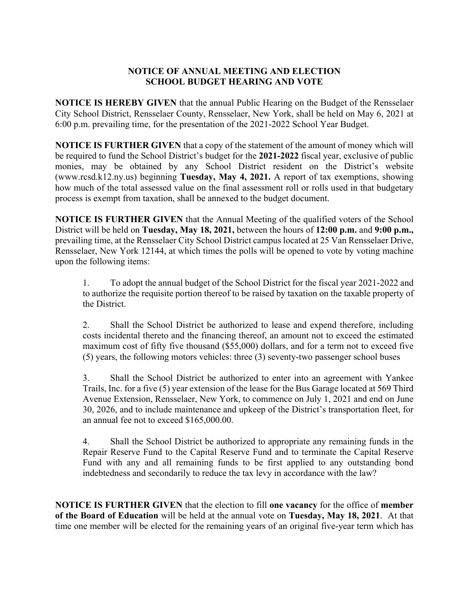## **NOTICE OF ANNUAL MEETING AND ELECTION SCHOOL BUDGET HEARING AND VOTE**

**NOTICE IS HEREBY GIVEN** that the annual Public Hearing on the Budget of the Rensselaer City School District, Rensselaer County, Rensselaer, New York, shall be held on May 6, 2021 at 6:00 p.m. prevailing time, for the presentation of the 2021-2022 School Year Budget.

**NOTICE IS FURTHER GIVEN** that a copy of the statement of the amount of money which will be required to fund the School District's budget for the **2021-2022** fiscal year, exclusive of public monies, may be obtained by any School District resident on the District's website (www.rcsd.k12.ny.us) beginning **Tuesday, May 4, 2021.** A report of tax exemptions, showing how much of the total assessed value on the final assessment roll or rolls used in that budgetary process is exempt from taxation, shall be annexed to the budget document.

**NOTICE IS FURTHER GIVEN** that the Annual Meeting of the qualified voters of the School District will be held on **Tuesday, May 18, 2021,** between the hours of **12:00 p.m.** and **9:00 p.m.,** prevailing time, at the Rensselaer City School District campus located at 25 Van Rensselaer Drive, Rensselaer, New York 12144, at which times the polls will be opened to vote by voting machine upon the following items:

1. To adopt the annual budget of the School District for the fiscal year 2021-2022 and to authorize the requisite portion thereof to be raised by taxation on the taxable property of the District.

2. Shall the School District be authorized to lease and expend therefore, including costs incidental thereto and the financing thereof, an amount not to exceed the estimated maximum cost of fifty five thousand (\$55,000) dollars, and for a term not to exceed five (5) years, the following motors vehicles: three (3) seventy-two passenger school buses

3. Shall the School District be authorized to enter into an agreement with Yankee Trails, Inc. for a five (5) year extension of the lease for the Bus Garage located at 569 Third Avenue Extension, Rensselaer, New York, to commence on July 1, 2021 and end on June 30, 2026, and to include maintenance and upkeep of the District's transportation fleet, for an annual fee not to exceed \$165,000.00.

4. Shall the School District be authorized to appropriate any remaining funds in the Repair Reserve Fund to the Capital Reserve Fund and to terminate the Capital Reserve Fund with any and all remaining funds to be first applied to any outstanding bond indebtedness and secondarily to reduce the tax levy in accordance with the law?

**NOTICE IS FURTHER GIVEN** that the election to fill **one vacancy** for the office of **member of the Board of Education** will be held at the annual vote on **Tuesday, May 18, 2021**. At that time one member will be elected for the remaining years of an original five-year term which has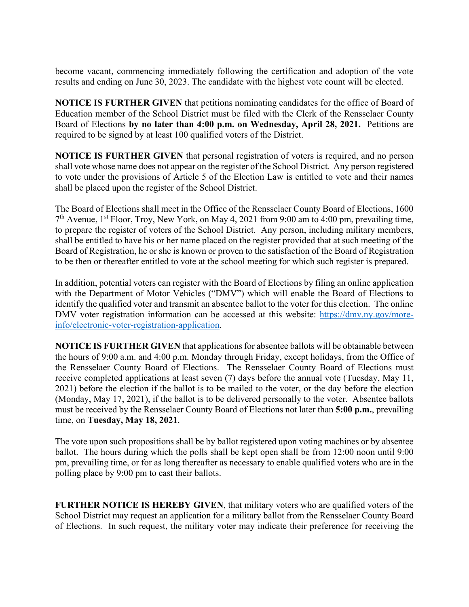become vacant, commencing immediately following the certification and adoption of the vote results and ending on June 30, 2023. The candidate with the highest vote count will be elected.

**NOTICE IS FURTHER GIVEN** that petitions nominating candidates for the office of Board of Education member of the School District must be filed with the Clerk of the Rensselaer County Board of Elections **by no later than 4:00 p.m. on Wednesday, April 28, 2021.** Petitions are required to be signed by at least 100 qualified voters of the District.

**NOTICE IS FURTHER GIVEN** that personal registration of voters is required, and no person shall vote whose name does not appear on the register of the School District. Any person registered to vote under the provisions of Article 5 of the Election Law is entitled to vote and their names shall be placed upon the register of the School District.

The Board of Elections shall meet in the Office of the Rensselaer County Board of Elections, 1600  $7<sup>th</sup>$  Avenue, 1<sup>st</sup> Floor, Troy, New York, on May 4, 2021 from 9:00 am to 4:00 pm, prevailing time, to prepare the register of voters of the School District. Any person, including military members, shall be entitled to have his or her name placed on the register provided that at such meeting of the Board of Registration, he or she is known or proven to the satisfaction of the Board of Registration to be then or thereafter entitled to vote at the school meeting for which such register is prepared.

In addition, potential voters can register with the Board of Elections by filing an online application with the Department of Motor Vehicles ("DMV") which will enable the Board of Elections to identify the qualified voter and transmit an absentee ballot to the voter for this election. The online DMV voter registration information can be accessed at this website: https://dmv.ny.gov/moreinfo/electronic-voter-registration-application.

**NOTICE IS FURTHER GIVEN** that applications for absentee ballots will be obtainable between the hours of 9:00 a.m. and 4:00 p.m. Monday through Friday, except holidays, from the Office of the Rensselaer County Board of Elections. The Rensselaer County Board of Elections must receive completed applications at least seven (7) days before the annual vote (Tuesday, May 11, 2021) before the election if the ballot is to be mailed to the voter, or the day before the election (Monday, May 17, 2021), if the ballot is to be delivered personally to the voter. Absentee ballots must be received by the Rensselaer County Board of Elections not later than **5:00 p.m.**, prevailing time, on **Tuesday, May 18, 2021**.

The vote upon such propositions shall be by ballot registered upon voting machines or by absentee ballot. The hours during which the polls shall be kept open shall be from 12:00 noon until 9:00 pm, prevailing time, or for as long thereafter as necessary to enable qualified voters who are in the polling place by 9:00 pm to cast their ballots.

**FURTHER NOTICE IS HEREBY GIVEN**, that military voters who are qualified voters of the School District may request an application for a military ballot from the Rensselaer County Board of Elections. In such request, the military voter may indicate their preference for receiving the